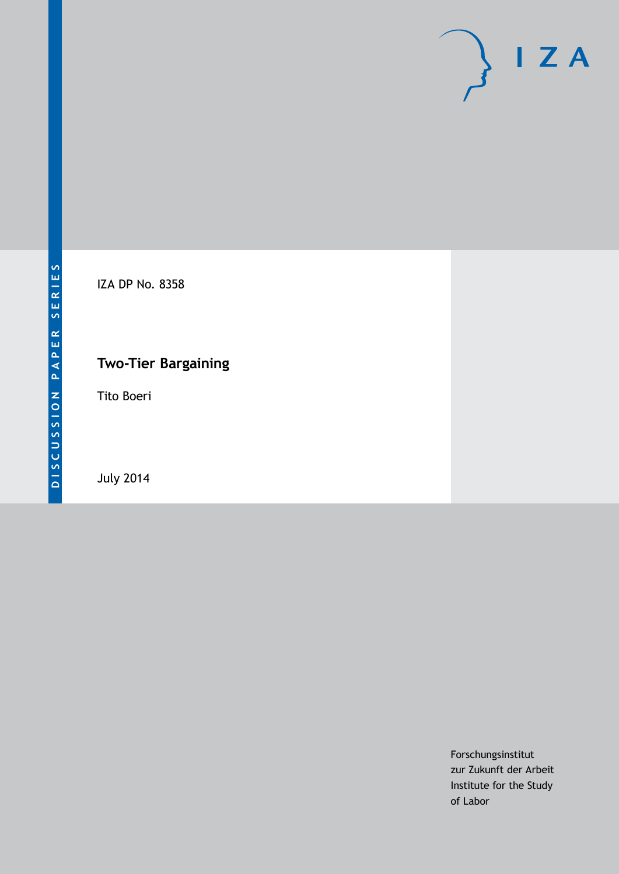

IZA DP No. 8358

# **Two-Tier Bargaining**

Tito Boeri

July 2014

Forschungsinstitut zur Zukunft der Arbeit Institute for the Study of Labor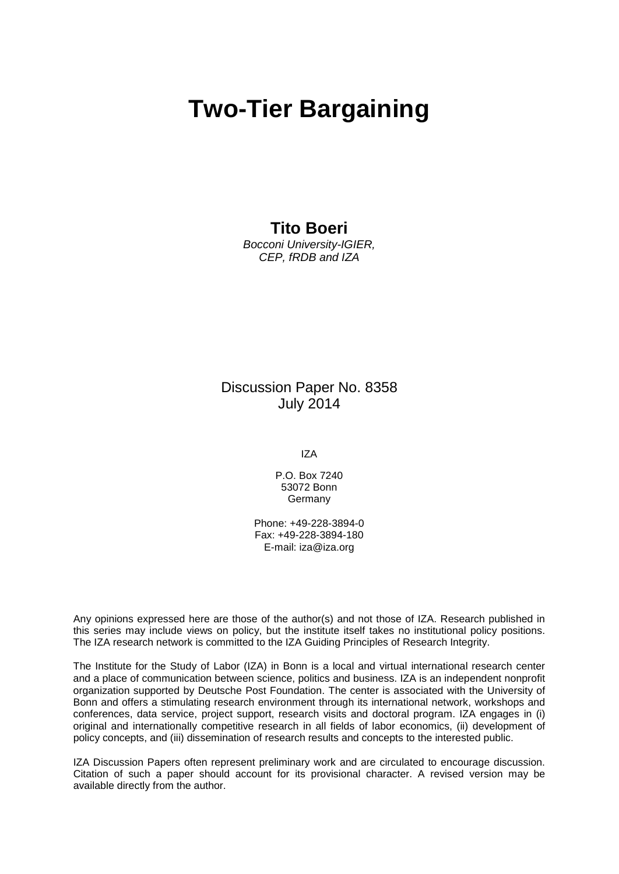# **Two-Tier Bargaining**

### **Tito Boeri**

*Bocconi University-IGIER, CEP, fRDB and IZA*

### Discussion Paper No. 8358 July 2014

IZA

P.O. Box 7240 53072 Bonn **Germany** 

Phone: +49-228-3894-0 Fax: +49-228-3894-180 E-mail: [iza@iza.org](mailto:iza@iza.org)

Any opinions expressed here are those of the author(s) and not those of IZA. Research published in this series may include views on policy, but the institute itself takes no institutional policy positions. The IZA research network is committed to the IZA Guiding Principles of Research Integrity.

The Institute for the Study of Labor (IZA) in Bonn is a local and virtual international research center and a place of communication between science, politics and business. IZA is an independent nonprofit organization supported by Deutsche Post Foundation. The center is associated with the University of Bonn and offers a stimulating research environment through its international network, workshops and conferences, data service, project support, research visits and doctoral program. IZA engages in (i) original and internationally competitive research in all fields of labor economics, (ii) development of policy concepts, and (iii) dissemination of research results and concepts to the interested public.

<span id="page-1-0"></span>IZA Discussion Papers often represent preliminary work and are circulated to encourage discussion. Citation of such a paper should account for its provisional character. A revised version may be available directly from the author.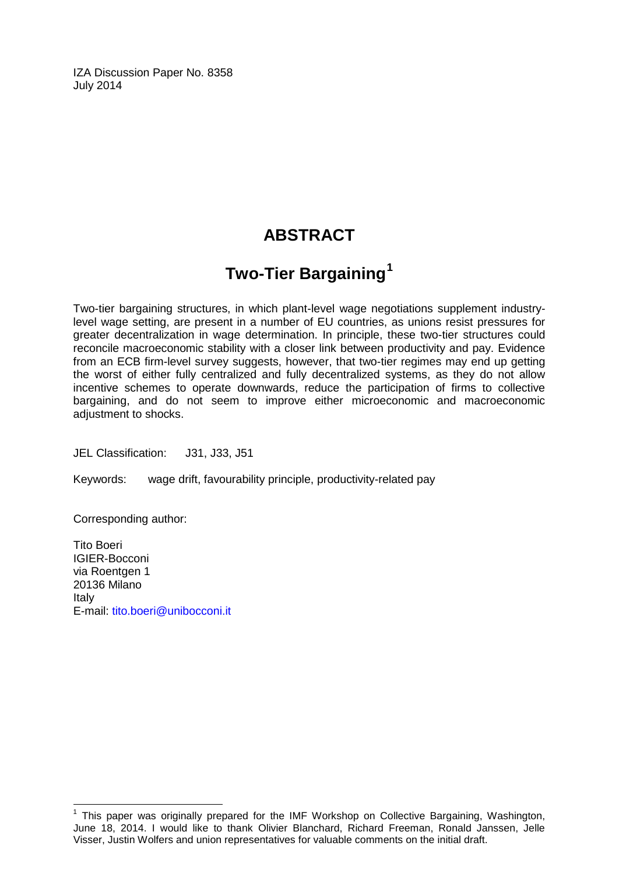IZA Discussion Paper No. 8358 July 2014

## **ABSTRACT**

# **Two-Tier Bargaining[1](#page-1-0)**

Two-tier bargaining structures, in which plant-level wage negotiations supplement industrylevel wage setting, are present in a number of EU countries, as unions resist pressures for greater decentralization in wage determination. In principle, these two-tier structures could reconcile macroeconomic stability with a closer link between productivity and pay. Evidence from an ECB firm-level survey suggests, however, that two-tier regimes may end up getting the worst of either fully centralized and fully decentralized systems, as they do not allow incentive schemes to operate downwards, reduce the participation of firms to collective bargaining, and do not seem to improve either microeconomic and macroeconomic adjustment to shocks.

JEL Classification: J31, J33, J51

Keywords: wage drift, favourability principle, productivity-related pay

Corresponding author:

Tito Boeri IGIER-Bocconi via Roentgen 1 20136 Milano Italy E-mail: [tito.boeri@unibocconi.it](mailto:tito.boeri@unibocconi.it)

 $<sup>1</sup>$  This paper was originally prepared for the IMF Workshop on Collective Bargaining, Washington,</sup> June 18, 2014. I would like to thank Olivier Blanchard, Richard Freeman, Ronald Janssen, Jelle Visser, Justin Wolfers and union representatives for valuable comments on the initial draft.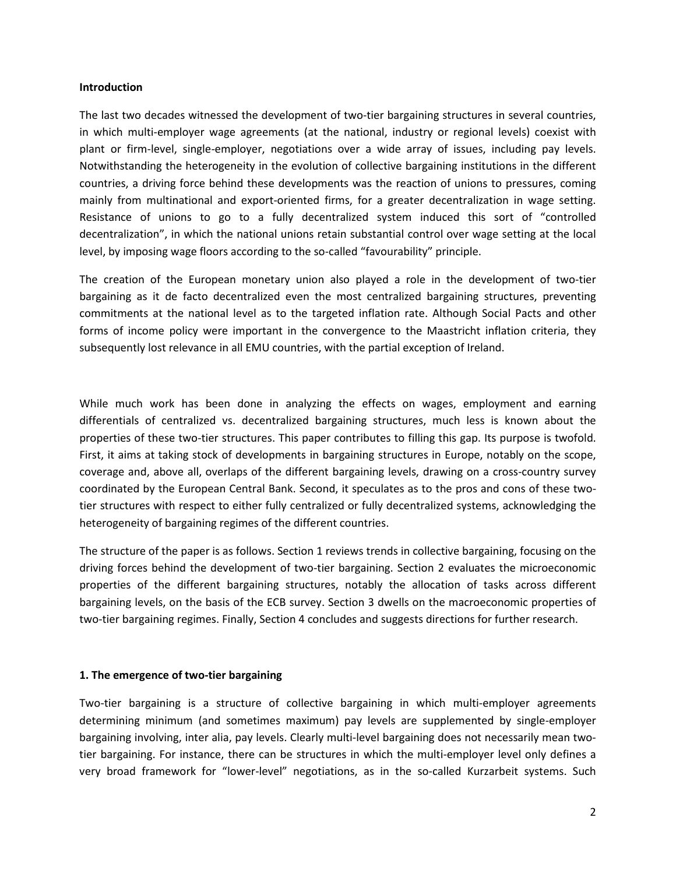#### **Introduction**

The last two decades witnessed the development of two-tier bargaining structures in several countries, in which multi-employer wage agreements (at the national, industry or regional levels) coexist with plant or firm-level, single-employer, negotiations over a wide array of issues, including pay levels. Notwithstanding the heterogeneity in the evolution of collective bargaining institutions in the different countries, a driving force behind these developments was the reaction of unions to pressures, coming mainly from multinational and export-oriented firms, for a greater decentralization in wage setting. Resistance of unions to go to a fully decentralized system induced this sort of "controlled decentralization", in which the national unions retain substantial control over wage setting at the local level, by imposing wage floors according to the so-called "favourability" principle.

The creation of the European monetary union also played a role in the development of two-tier bargaining as it de facto decentralized even the most centralized bargaining structures, preventing commitments at the national level as to the targeted inflation rate. Although Social Pacts and other forms of income policy were important in the convergence to the Maastricht inflation criteria, they subsequently lost relevance in all EMU countries, with the partial exception of Ireland.

While much work has been done in analyzing the effects on wages, employment and earning differentials of centralized vs. decentralized bargaining structures, much less is known about the properties of these two-tier structures. This paper contributes to filling this gap. Its purpose is twofold. First, it aims at taking stock of developments in bargaining structures in Europe, notably on the scope, coverage and, above all, overlaps of the different bargaining levels, drawing on a cross-country survey coordinated by the European Central Bank. Second, it speculates as to the pros and cons of these twotier structures with respect to either fully centralized or fully decentralized systems, acknowledging the heterogeneity of bargaining regimes of the different countries.

The structure of the paper is as follows. Section 1 reviews trends in collective bargaining, focusing on the driving forces behind the development of two-tier bargaining. Section 2 evaluates the microeconomic properties of the different bargaining structures, notably the allocation of tasks across different bargaining levels, on the basis of the ECB survey. Section 3 dwells on the macroeconomic properties of two-tier bargaining regimes. Finally, Section 4 concludes and suggests directions for further research.

#### **1. The emergence of two-tier bargaining**

Two-tier bargaining is a structure of collective bargaining in which multi-employer agreements determining minimum (and sometimes maximum) pay levels are supplemented by single-employer bargaining involving, inter alia, pay levels. Clearly multi-level bargaining does not necessarily mean twotier bargaining. For instance, there can be structures in which the multi-employer level only defines a very broad framework for "lower-level" negotiations, as in the so-called Kurzarbeit systems. Such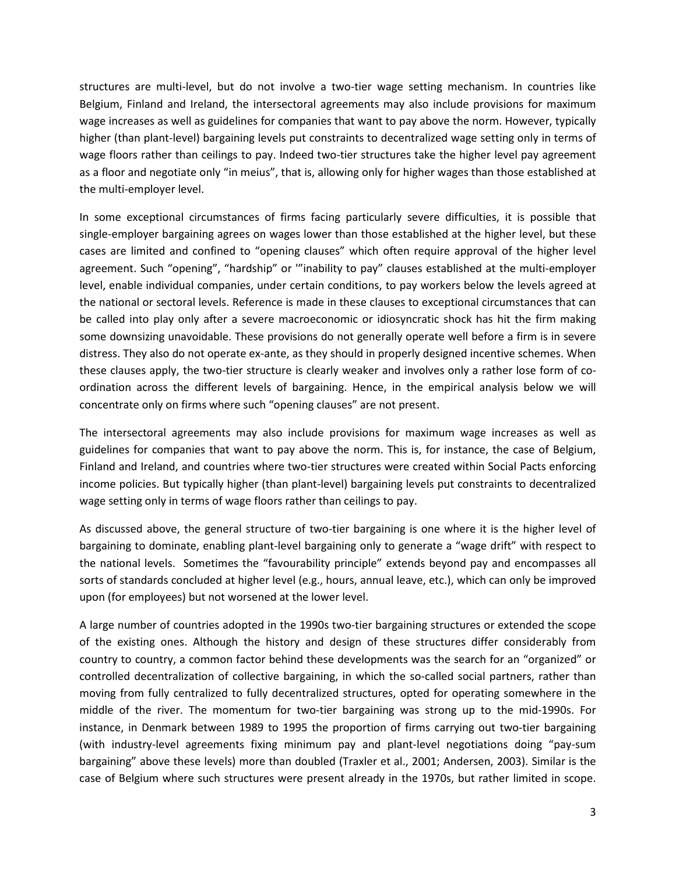structures are multi-level, but do not involve a two-tier wage setting mechanism. In countries like Belgium, Finland and Ireland, the intersectoral agreements may also include provisions for maximum wage increases as well as guidelines for companies that want to pay above the norm. However, typically higher (than plant-level) bargaining levels put constraints to decentralized wage setting only in terms of wage floors rather than ceilings to pay. Indeed two-tier structures take the higher level pay agreement as a floor and negotiate only "in meius", that is, allowing only for higher wages than those established at the multi-employer level.

In some exceptional circumstances of firms facing particularly severe difficulties, it is possible that single-employer bargaining agrees on wages lower than those established at the higher level, but these cases are limited and confined to "opening clauses" which often require approval of the higher level agreement. Such "opening", "hardship" or '"inability to pay" clauses established at the multi-employer level, enable individual companies, under certain conditions, to pay workers below the levels agreed at the national or sectoral levels. Reference is made in these clauses to exceptional circumstances that can be called into play only after a severe macroeconomic or idiosyncratic shock has hit the firm making some downsizing unavoidable. These provisions do not generally operate well before a firm is in severe distress. They also do not operate ex-ante, as they should in properly designed incentive schemes. When these clauses apply, the two-tier structure is clearly weaker and involves only a rather lose form of coordination across the different levels of bargaining. Hence, in the empirical analysis below we will concentrate only on firms where such "opening clauses" are not present.

The intersectoral agreements may also include provisions for maximum wage increases as well as guidelines for companies that want to pay above the norm. This is, for instance, the case of Belgium, Finland and Ireland, and countries where two-tier structures were created within Social Pacts enforcing income policies. But typically higher (than plant-level) bargaining levels put constraints to decentralized wage setting only in terms of wage floors rather than ceilings to pay.

As discussed above, the general structure of two-tier bargaining is one where it is the higher level of bargaining to dominate, enabling plant-level bargaining only to generate a "wage drift" with respect to the national levels. Sometimes the "favourability principle" extends beyond pay and encompasses all sorts of standards concluded at higher level (e.g., hours, annual leave, etc.), which can only be improved upon (for employees) but not worsened at the lower level.

A large number of countries adopted in the 1990s two-tier bargaining structures or extended the scope of the existing ones. Although the history and design of these structures differ considerably from country to country, a common factor behind these developments was the search for an "organized" or controlled decentralization of collective bargaining, in which the so-called social partners, rather than moving from fully centralized to fully decentralized structures, opted for operating somewhere in the middle of the river. The momentum for two-tier bargaining was strong up to the mid-1990s. For instance, in Denmark between 1989 to 1995 the proportion of firms carrying out two-tier bargaining (with industry-level agreements fixing minimum pay and plant-level negotiations doing "pay-sum bargaining" above these levels) more than doubled (Traxler et al., 2001; Andersen, 2003). Similar is the case of Belgium where such structures were present already in the 1970s, but rather limited in scope.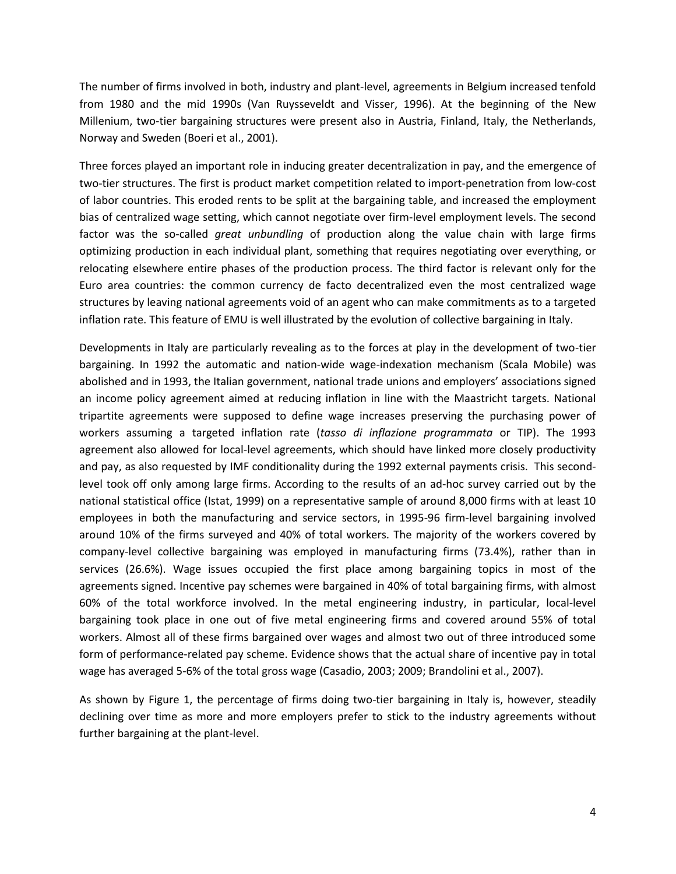The number of firms involved in both, industry and plant-level, agreements in Belgium increased tenfold from 1980 and the mid 1990s (Van Ruysseveldt and Visser, 1996). At the beginning of the New Millenium, two-tier bargaining structures were present also in Austria, Finland, Italy, the Netherlands, Norway and Sweden (Boeri et al., 2001).

Three forces played an important role in inducing greater decentralization in pay, and the emergence of two-tier structures. The first is product market competition related to import-penetration from low-cost of labor countries. This eroded rents to be split at the bargaining table, and increased the employment bias of centralized wage setting, which cannot negotiate over firm-level employment levels. The second factor was the so-called *great unbundling* of production along the value chain with large firms optimizing production in each individual plant, something that requires negotiating over everything, or relocating elsewhere entire phases of the production process. The third factor is relevant only for the Euro area countries: the common currency de facto decentralized even the most centralized wage structures by leaving national agreements void of an agent who can make commitments as to a targeted inflation rate. This feature of EMU is well illustrated by the evolution of collective bargaining in Italy.

Developments in Italy are particularly revealing as to the forces at play in the development of two-tier bargaining. In 1992 the automatic and nation-wide wage-indexation mechanism (Scala Mobile) was abolished and in 1993, the Italian government, national trade unions and employers' associations signed an income policy agreement aimed at reducing inflation in line with the Maastricht targets. National tripartite agreements were supposed to define wage increases preserving the purchasing power of workers assuming a targeted inflation rate (*tasso di inflazione programmata* or TIP). The 1993 agreement also allowed for local-level agreements, which should have linked more closely productivity and pay, as also requested by IMF conditionality during the 1992 external payments crisis. This secondlevel took off only among large firms. According to the results of an ad-hoc survey carried out by the national statistical office (Istat, 1999) on a representative sample of around 8,000 firms with at least 10 employees in both the manufacturing and service sectors, in 1995-96 firm-level bargaining involved around 10% of the firms surveyed and 40% of total workers. The majority of the workers covered by company-level collective bargaining was employed in manufacturing firms (73.4%), rather than in services (26.6%). Wage issues occupied the first place among bargaining topics in most of the agreements signed. Incentive pay schemes were bargained in 40% of total bargaining firms, with almost 60% of the total workforce involved. In the metal engineering industry, in particular, local-level bargaining took place in one out of five metal engineering firms and covered around 55% of total workers. Almost all of these firms bargained over wages and almost two out of three introduced some form of performance-related pay scheme. Evidence shows that the actual share of incentive pay in total wage has averaged 5-6% of the total gross wage (Casadio, 2003; 2009; Brandolini et al., 2007).

As shown by Figure 1, the percentage of firms doing two-tier bargaining in Italy is, however, steadily declining over time as more and more employers prefer to stick to the industry agreements without further bargaining at the plant-level.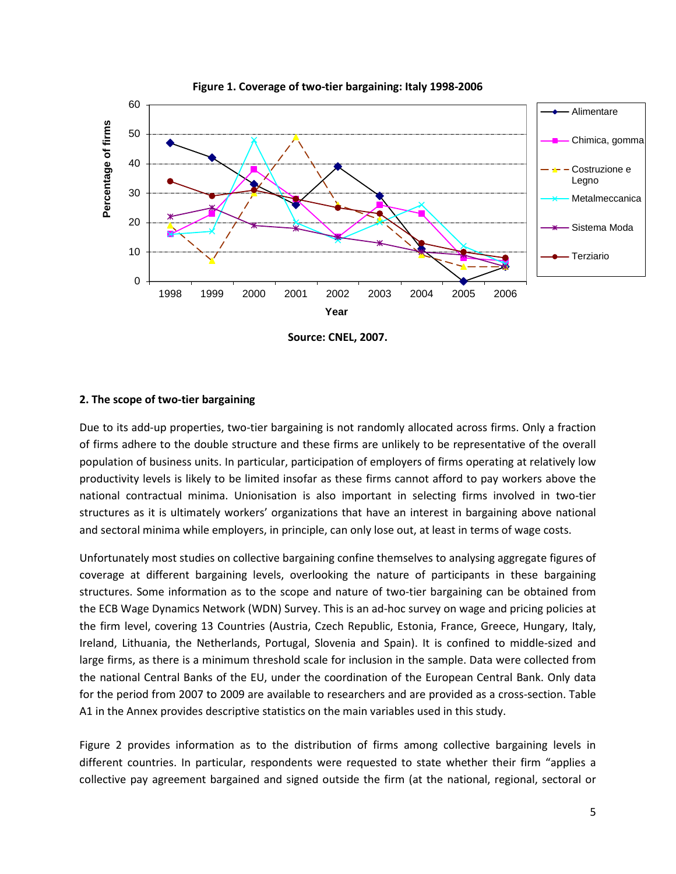

**Figure 1. Coverage of two-tier bargaining: Italy 1998-2006**

**Source: CNEL, 2007.**

#### **2. The scope of two-tier bargaining**

Due to its add-up properties, two-tier bargaining is not randomly allocated across firms. Only a fraction of firms adhere to the double structure and these firms are unlikely to be representative of the overall population of business units. In particular, participation of employers of firms operating at relatively low productivity levels is likely to be limited insofar as these firms cannot afford to pay workers above the national contractual minima. Unionisation is also important in selecting firms involved in two-tier structures as it is ultimately workers' organizations that have an interest in bargaining above national and sectoral minima while employers, in principle, can only lose out, at least in terms of wage costs.

Unfortunately most studies on collective bargaining confine themselves to analysing aggregate figures of coverage at different bargaining levels, overlooking the nature of participants in these bargaining structures. Some information as to the scope and nature of two-tier bargaining can be obtained from the ECB Wage Dynamics Network (WDN) Survey. This is an ad-hoc survey on wage and pricing policies at the firm level, covering 13 Countries (Austria, Czech Republic, Estonia, France, Greece, Hungary, Italy, Ireland, Lithuania, the Netherlands, Portugal, Slovenia and Spain). It is confined to middle-sized and large firms, as there is a minimum threshold scale for inclusion in the sample. Data were collected from the national Central Banks of the EU, under the coordination of the European Central Bank. Only data for the period from 2007 to 2009 are available to researchers and are provided as a cross-section. Table A1 in the Annex provides descriptive statistics on the main variables used in this study.

Figure 2 provides information as to the distribution of firms among collective bargaining levels in different countries. In particular, respondents were requested to state whether their firm "applies a collective pay agreement bargained and signed outside the firm (at the national, regional, sectoral or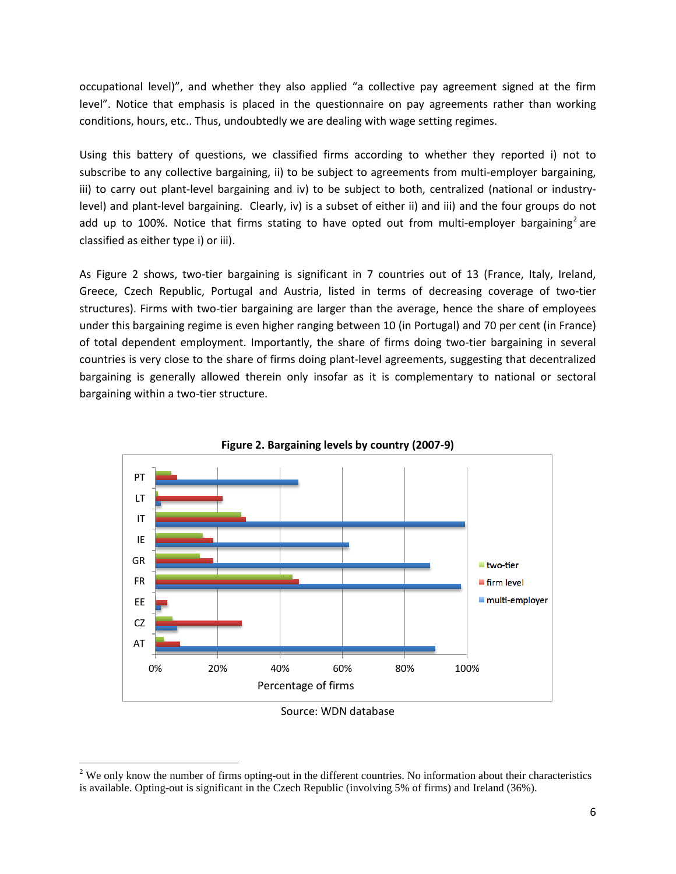occupational level)", and whether they also applied "a collective pay agreement signed at the firm level". Notice that emphasis is placed in the questionnaire on pay agreements rather than working conditions, hours, etc.. Thus, undoubtedly we are dealing with wage setting regimes.

Using this battery of questions, we classified firms according to whether they reported i) not to subscribe to any collective bargaining, ii) to be subject to agreements from multi-employer bargaining, iii) to carry out plant-level bargaining and iv) to be subject to both, centralized (national or industrylevel) and plant-level bargaining. Clearly, iv) is a subset of either ii) and iii) and the four groups do not add up to 100%. Notice that firms stating to have opted out from multi-employer bargaining<sup>2</sup> are classified as either type i) or iii).

As Figure 2 shows, two-tier bargaining is significant in 7 countries out of 13 (France, Italy, Ireland, Greece, Czech Republic, Portugal and Austria, listed in terms of decreasing coverage of two-tier structures). Firms with two-tier bargaining are larger than the average, hence the share of employees under this bargaining regime is even higher ranging between 10 (in Portugal) and 70 per cent (in France) of total dependent employment. Importantly, the share of firms doing two-tier bargaining in several countries is very close to the share of firms doing plant-level agreements, suggesting that decentralized bargaining is generally allowed therein only insofar as it is complementary to national or sectoral bargaining within a two-tier structure.





Source: WDN database

<span id="page-7-0"></span> $2$  We only know the number of firms opting-out in the different countries. No information about their characteristics is available. Opting-out is significant in the Czech Republic (involving 5% of firms) and Ireland (36%).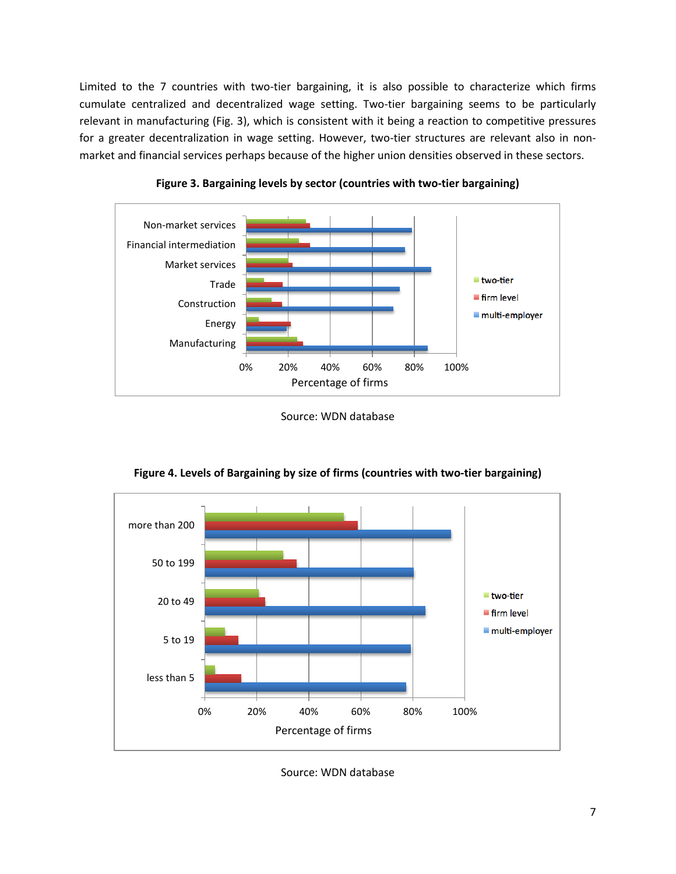Limited to the 7 countries with two-tier bargaining, it is also possible to characterize which firms cumulate centralized and decentralized wage setting. Two-tier bargaining seems to be particularly relevant in manufacturing (Fig. 3), which is consistent with it being a reaction to competitive pressures for a greater decentralization in wage setting. However, two-tier structures are relevant also in nonmarket and financial services perhaps because of the higher union densities observed in these sectors.







**Figure 4. Levels of Bargaining by size of firms (countries with two-tier bargaining)**

Source: WDN database

Source: WDN database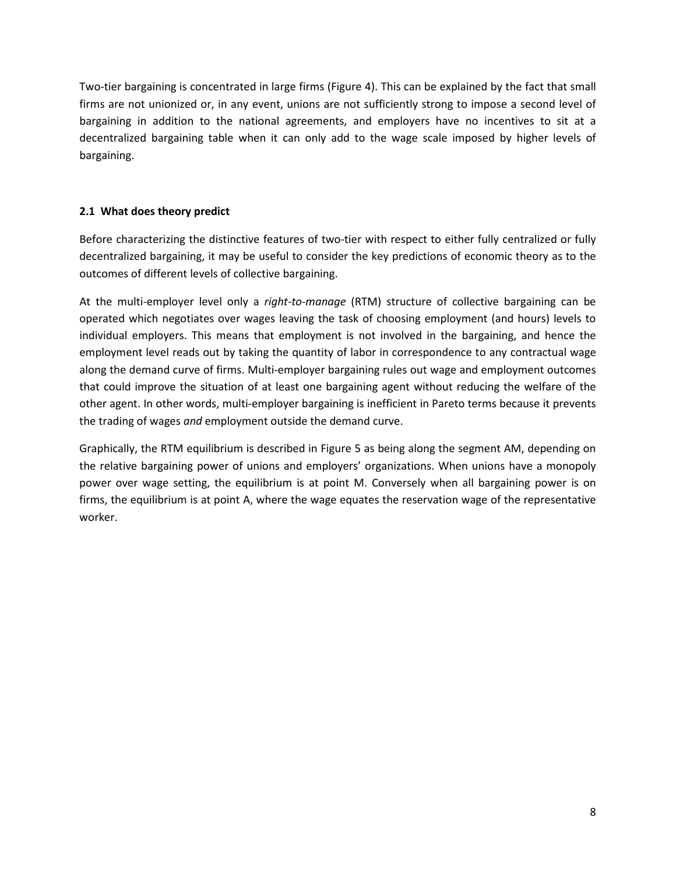Two-tier bargaining is concentrated in large firms (Figure 4). This can be explained by the fact that small firms are not unionized or, in any event, unions are not sufficiently strong to impose a second level of bargaining in addition to the national agreements, and employers have no incentives to sit at a decentralized bargaining table when it can only add to the wage scale imposed by higher levels of bargaining.

#### **2.1 What does theory predict**

Before characterizing the distinctive features of two-tier with respect to either fully centralized or fully decentralized bargaining, it may be useful to consider the key predictions of economic theory as to the outcomes of different levels of collective bargaining.

At the multi-employer level only a *right-to-manage* (RTM) structure of collective bargaining can be operated which negotiates over wages leaving the task of choosing employment (and hours) levels to individual employers. This means that employment is not involved in the bargaining, and hence the employment level reads out by taking the quantity of labor in correspondence to any contractual wage along the demand curve of firms. Multi-employer bargaining rules out wage and employment outcomes that could improve the situation of at least one bargaining agent without reducing the welfare of the other agent. In other words, multi-employer bargaining is inefficient in Pareto terms because it prevents the trading of wages *and* employment outside the demand curve.

Graphically, the RTM equilibrium is described in Figure 5 as being along the segment AM, depending on the relative bargaining power of unions and employers' organizations. When unions have a monopoly power over wage setting, the equilibrium is at point M. Conversely when all bargaining power is on firms, the equilibrium is at point A, where the wage equates the reservation wage of the representative worker.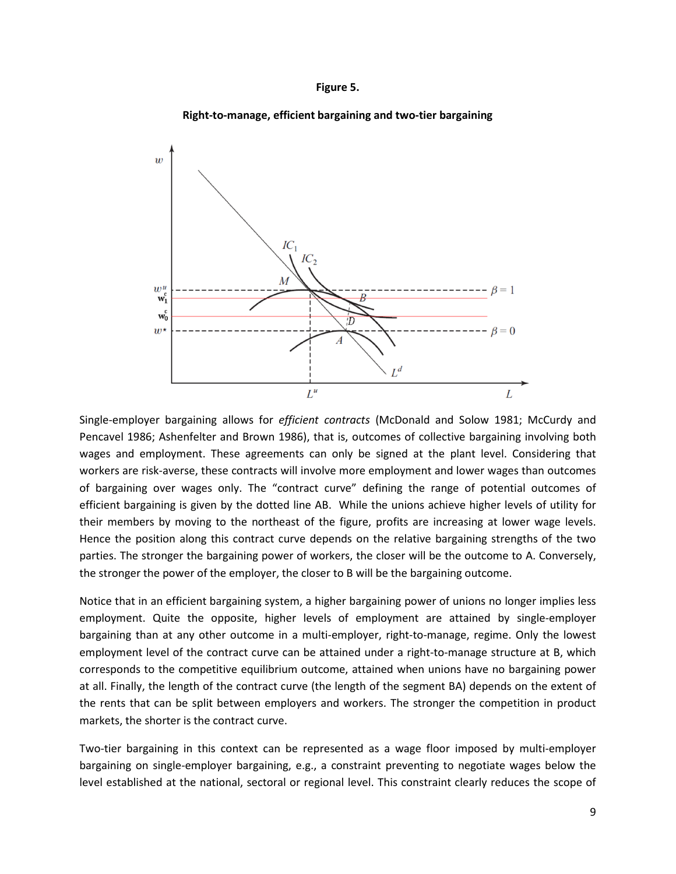#### **Figure 5.**



**Right-to-manage, efficient bargaining and two-tier bargaining**

Single-employer bargaining allows for *efficient contracts* (McDonald and Solow 1981; McCurdy and Pencavel 1986; Ashenfelter and Brown 1986), that is, outcomes of collective bargaining involving both wages and employment. These agreements can only be signed at the plant level. Considering that workers are risk-averse, these contracts will involve more employment and lower wages than outcomes of bargaining over wages only. The "contract curve" defining the range of potential outcomes of efficient bargaining is given by the dotted line AB. While the unions achieve higher levels of utility for their members by moving to the northeast of the figure, profits are increasing at lower wage levels. Hence the position along this contract curve depends on the relative bargaining strengths of the two parties. The stronger the bargaining power of workers, the closer will be the outcome to A. Conversely, the stronger the power of the employer, the closer to B will be the bargaining outcome.

Notice that in an efficient bargaining system, a higher bargaining power of unions no longer implies less employment. Quite the opposite, higher levels of employment are attained by single-employer bargaining than at any other outcome in a multi-employer, right-to-manage, regime. Only the lowest employment level of the contract curve can be attained under a right-to-manage structure at B, which corresponds to the competitive equilibrium outcome, attained when unions have no bargaining power at all. Finally, the length of the contract curve (the length of the segment BA) depends on the extent of the rents that can be split between employers and workers. The stronger the competition in product markets, the shorter is the contract curve.

Two-tier bargaining in this context can be represented as a wage floor imposed by multi-employer bargaining on single-employer bargaining, e.g., a constraint preventing to negotiate wages below the level established at the national, sectoral or regional level. This constraint clearly reduces the scope of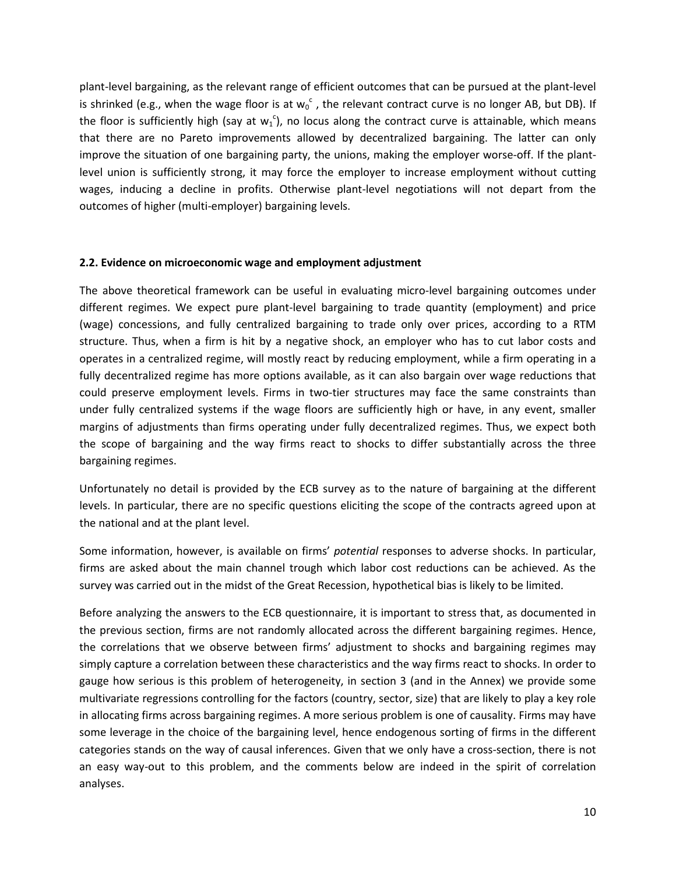plant-level bargaining, as the relevant range of efficient outcomes that can be pursued at the plant-level is shrinked (e.g., when the wage floor is at  $w_0^{\ c}$  , the relevant contract curve is no longer AB, but DB). If the floor is sufficiently high (say at  $w_1^c$ ), no locus along the contract curve is attainable, which means that there are no Pareto improvements allowed by decentralized bargaining. The latter can only improve the situation of one bargaining party, the unions, making the employer worse-off. If the plantlevel union is sufficiently strong, it may force the employer to increase employment without cutting wages, inducing a decline in profits. Otherwise plant-level negotiations will not depart from the outcomes of higher (multi-employer) bargaining levels.

#### **2.2. Evidence on microeconomic wage and employment adjustment**

The above theoretical framework can be useful in evaluating micro-level bargaining outcomes under different regimes. We expect pure plant-level bargaining to trade quantity (employment) and price (wage) concessions, and fully centralized bargaining to trade only over prices, according to a RTM structure. Thus, when a firm is hit by a negative shock, an employer who has to cut labor costs and operates in a centralized regime, will mostly react by reducing employment, while a firm operating in a fully decentralized regime has more options available, as it can also bargain over wage reductions that could preserve employment levels. Firms in two-tier structures may face the same constraints than under fully centralized systems if the wage floors are sufficiently high or have, in any event, smaller margins of adjustments than firms operating under fully decentralized regimes. Thus, we expect both the scope of bargaining and the way firms react to shocks to differ substantially across the three bargaining regimes.

Unfortunately no detail is provided by the ECB survey as to the nature of bargaining at the different levels. In particular, there are no specific questions eliciting the scope of the contracts agreed upon at the national and at the plant level.

Some information, however, is available on firms' *potential* responses to adverse shocks. In particular, firms are asked about the main channel trough which labor cost reductions can be achieved. As the survey was carried out in the midst of the Great Recession, hypothetical bias is likely to be limited.

Before analyzing the answers to the ECB questionnaire, it is important to stress that, as documented in the previous section, firms are not randomly allocated across the different bargaining regimes. Hence, the correlations that we observe between firms' adjustment to shocks and bargaining regimes may simply capture a correlation between these characteristics and the way firms react to shocks. In order to gauge how serious is this problem of heterogeneity, in section 3 (and in the Annex) we provide some multivariate regressions controlling for the factors (country, sector, size) that are likely to play a key role in allocating firms across bargaining regimes. A more serious problem is one of causality. Firms may have some leverage in the choice of the bargaining level, hence endogenous sorting of firms in the different categories stands on the way of causal inferences. Given that we only have a cross-section, there is not an easy way-out to this problem, and the comments below are indeed in the spirit of correlation analyses.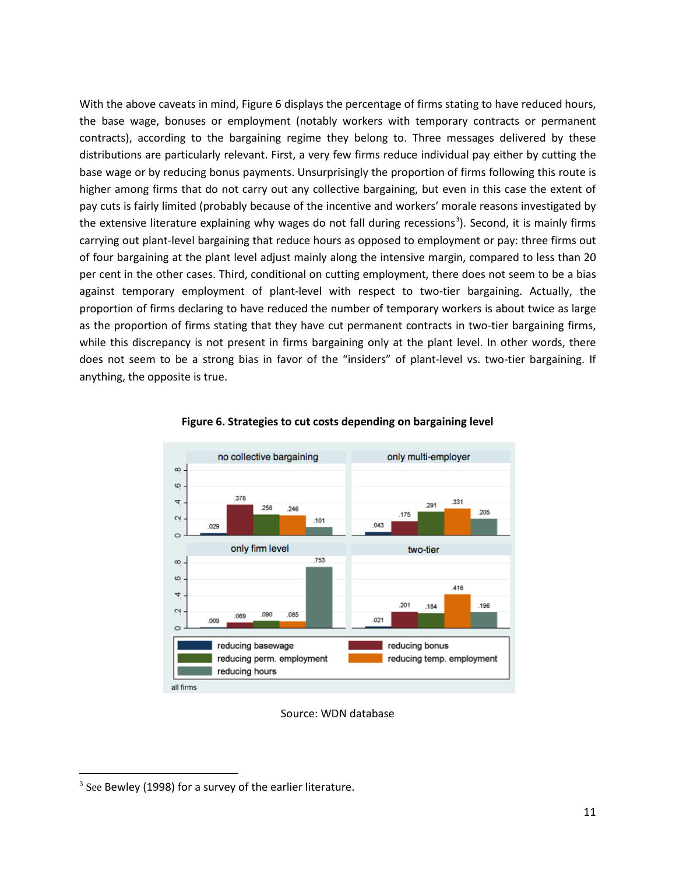With the above caveats in mind, Figure 6 displays the percentage of firms stating to have reduced hours, the base wage, bonuses or employment (notably workers with temporary contracts or permanent contracts), according to the bargaining regime they belong to. Three messages delivered by these distributions are particularly relevant. First, a very few firms reduce individual pay either by cutting the base wage or by reducing bonus payments. Unsurprisingly the proportion of firms following this route is higher among firms that do not carry out any collective bargaining, but even in this case the extent of pay cuts is fairly limited (probably because of the incentive and workers' morale reasons investigated by the extensive literature explaining why wages do not fall during recessions<sup>[3](#page-7-0)</sup>). Second, it is mainly firms carrying out plant-level bargaining that reduce hours as opposed to employment or pay: three firms out of four bargaining at the plant level adjust mainly along the intensive margin, compared to less than 20 per cent in the other cases. Third, conditional on cutting employment, there does not seem to be a bias against temporary employment of plant-level with respect to two-tier bargaining. Actually, the proportion of firms declaring to have reduced the number of temporary workers is about twice as large as the proportion of firms stating that they have cut permanent contracts in two-tier bargaining firms, while this discrepancy is not present in firms bargaining only at the plant level. In other words, there does not seem to be a strong bias in favor of the "insiders" of plant-level vs. two-tier bargaining. If anything, the opposite is true.



#### **Figure 6. Strategies to cut costs depending on bargaining level**

Source: WDN database

 $\overline{\phantom{a}}$ 

<span id="page-12-0"></span> $3$  See Bewley (1998) for a survey of the earlier literature.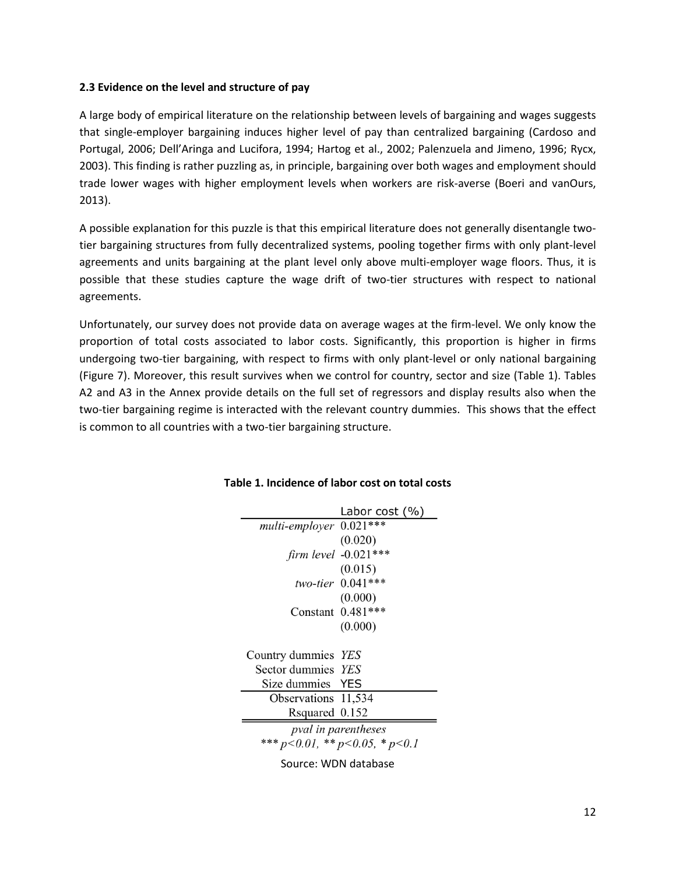#### **2.3 Evidence on the level and structure of pay**

A large body of empirical literature on the relationship between levels of bargaining and wages suggests that single-employer bargaining induces higher level of pay than centralized bargaining (Cardoso and Portugal, 2006; Dell'Aringa and Lucifora, 1994; Hartog et al., 2002; Palenzuela and Jimeno, 1996; Rycx, 2003). This finding is rather puzzling as, in principle, bargaining over both wages and employment should trade lower wages with higher employment levels when workers are risk-averse (Boeri and vanOurs, 2013).

A possible explanation for this puzzle is that this empirical literature does not generally disentangle twotier bargaining structures from fully decentralized systems, pooling together firms with only plant-level agreements and units bargaining at the plant level only above multi-employer wage floors. Thus, it is possible that these studies capture the wage drift of two-tier structures with respect to national agreements.

Unfortunately, our survey does not provide data on average wages at the firm-level. We only know the proportion of total costs associated to labor costs. Significantly, this proportion is higher in firms undergoing two-tier bargaining, with respect to firms with only plant-level or only national bargaining (Figure 7). Moreover, this result survives when we control for country, sector and size (Table 1). Tables A2 and A3 in the Annex provide details on the full set of regressors and display results also when the two-tier bargaining regime is interacted with the relevant country dummies. This shows that the effect is common to all countries with a two-tier bargaining structure.

|                         | Labor cost (%)                         |  |  |  |  |
|-------------------------|----------------------------------------|--|--|--|--|
| multi-employer 0.021*** |                                        |  |  |  |  |
|                         | (0.020)                                |  |  |  |  |
|                         | firm level $-0.021***$                 |  |  |  |  |
|                         | (0.015)                                |  |  |  |  |
|                         | two-tier $0.041***$                    |  |  |  |  |
|                         | (0.000)                                |  |  |  |  |
|                         | Constant 0.481***                      |  |  |  |  |
|                         | (0.000)                                |  |  |  |  |
|                         |                                        |  |  |  |  |
| Country dummies YES     |                                        |  |  |  |  |
| Sector dummies YES      |                                        |  |  |  |  |
| Size dummies YES        |                                        |  |  |  |  |
| Observations 11,534     |                                        |  |  |  |  |
| Rsquared 0.152          |                                        |  |  |  |  |
| pval in parentheses     |                                        |  |  |  |  |
|                         | *** $p<0.01$ , ** $p<0.05$ , * $p<0.1$ |  |  |  |  |
|                         |                                        |  |  |  |  |

#### **Table 1. Incidence of labor cost on total costs**

Source: WDN database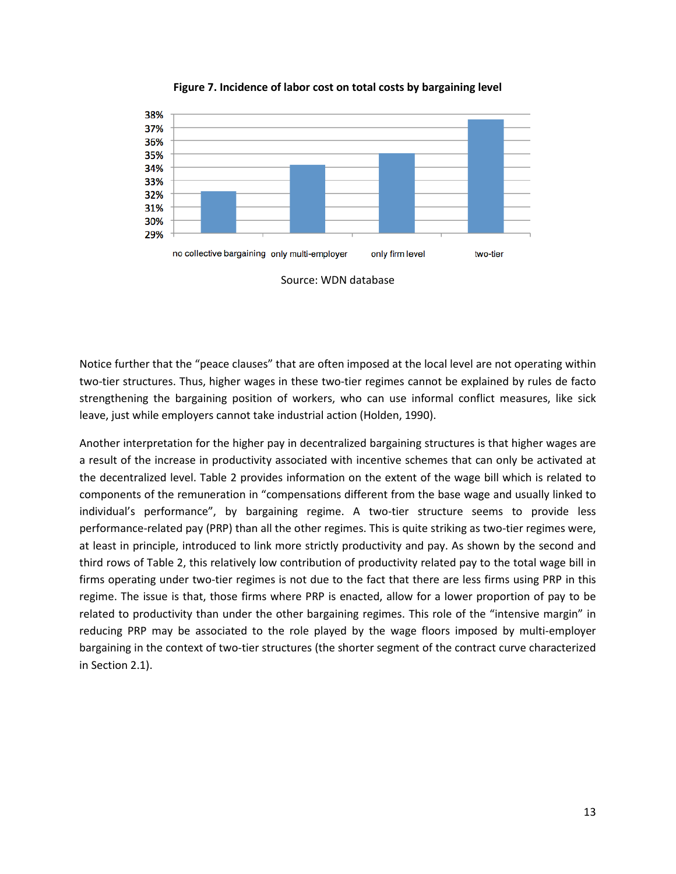

**Figure 7. Incidence of labor cost on total costs by bargaining level**

Notice further that the "peace clauses" that are often imposed at the local level are not operating within two-tier structures. Thus, higher wages in these two-tier regimes cannot be explained by rules de facto strengthening the bargaining position of workers, who can use informal conflict measures, like sick leave, just while employers cannot take industrial action (Holden, 1990).

Another interpretation for the higher pay in decentralized bargaining structures is that higher wages are a result of the increase in productivity associated with incentive schemes that can only be activated at the decentralized level. Table 2 provides information on the extent of the wage bill which is related to components of the remuneration in "compensations different from the base wage and usually linked to individual's performance", by bargaining regime. A two-tier structure seems to provide less performance-related pay (PRP) than all the other regimes. This is quite striking as two-tier regimes were, at least in principle, introduced to link more strictly productivity and pay. As shown by the second and third rows of Table 2, this relatively low contribution of productivity related pay to the total wage bill in firms operating under two-tier regimes is not due to the fact that there are less firms using PRP in this regime. The issue is that, those firms where PRP is enacted, allow for a lower proportion of pay to be related to productivity than under the other bargaining regimes. This role of the "intensive margin" in reducing PRP may be associated to the role played by the wage floors imposed by multi-employer bargaining in the context of two-tier structures (the shorter segment of the contract curve characterized in Section 2.1).

Source: WDN database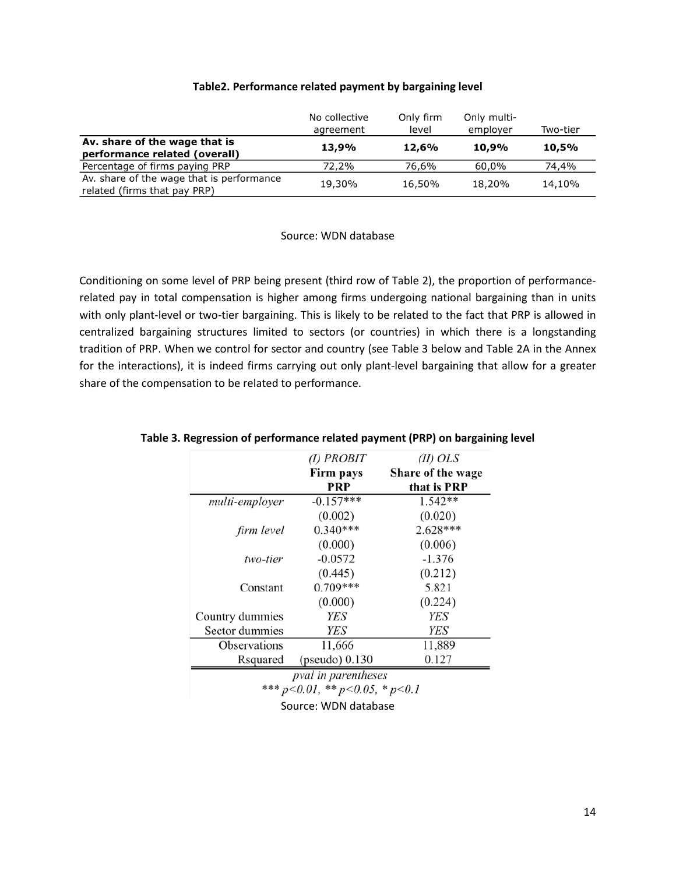|                                                                           | No collective<br>agreement | Only firm<br>level | Only multi-<br>employer | Two-tier |
|---------------------------------------------------------------------------|----------------------------|--------------------|-------------------------|----------|
| Av. share of the wage that is<br>performance related (overall)            | 13,9%                      | 12,6%              | 10,9%                   | 10,5%    |
| Percentage of firms paying PRP                                            | 72,2%                      | 76,6%              | 60.0%                   | 74,4%    |
| Av. share of the wage that is performance<br>related (firms that pay PRP) | 19,30%                     | 16,50%             | 18,20%                  | 14,10%   |

#### **Table2. Performance related payment by bargaining level**

#### Source: WDN database

Conditioning on some level of PRP being present (third row of Table 2), the proportion of performancerelated pay in total compensation is higher among firms undergoing national bargaining than in units with only plant-level or two-tier bargaining. This is likely to be related to the fact that PRP is allowed in centralized bargaining structures limited to sectors (or countries) in which there is a longstanding tradition of PRP. When we control for sector and country (see Table 3 below and Table 2A in the Annex for the interactions), it is indeed firms carrying out only plant-level bargaining that allow for a greater share of the compensation to be related to performance.

|                 | $(I)$ PROBIT                           | $(II)$ OLS        |
|-----------------|----------------------------------------|-------------------|
|                 | Firm pays                              | Share of the wage |
|                 | PRP                                    | that is PRP       |
| multi-employer  | $-0.157***$                            | 1.542**           |
|                 | (0.002)                                | (0.020)           |
| firm level      | $0.340***$                             | $2.628***$        |
|                 | (0.000)                                | (0.006)           |
| two-tier        | $-0.0572$                              | $-1.376$          |
|                 | (0.445)                                | (0.212)           |
| Constant        | 0.709***                               | 5.821             |
|                 | (0.000)                                | (0.224)           |
| Country dummies | <b>YES</b>                             | YES               |
| Sector dummies  | YES                                    | YES               |
| Observations    | 11,666                                 | 11,889            |
| Rsquared        | (pseudo) $0.130$                       | 0.127             |
|                 | pval in parentheses                    |                   |
|                 | *** $p<0.01$ , ** $p<0.05$ , * $p<0.1$ |                   |
|                 | $C = \{x_1, x_2, \ldots, x_n\}$        |                   |

#### **Table 3. Regression of performance related payment (PRP) on bargaining level**

Source: WDN database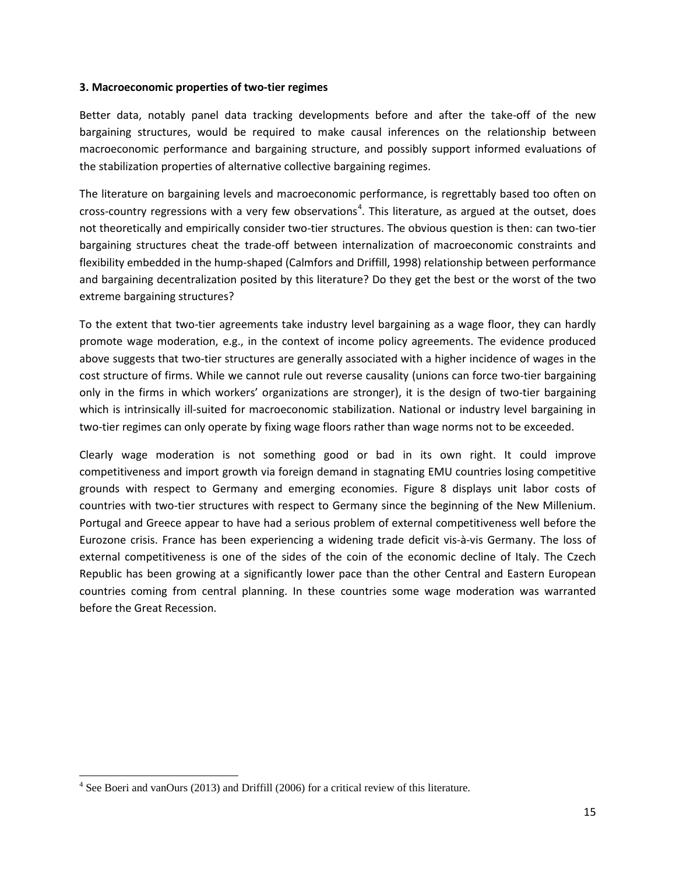#### **3. Macroeconomic properties of two-tier regimes**

Better data, notably panel data tracking developments before and after the take-off of the new bargaining structures, would be required to make causal inferences on the relationship between macroeconomic performance and bargaining structure, and possibly support informed evaluations of the stabilization properties of alternative collective bargaining regimes.

The literature on bargaining levels and macroeconomic performance, is regrettably based too often on cross-country regressions with a very few observations<sup>[4](#page-12-0)</sup>. This literature, as argued at the outset, does not theoretically and empirically consider two-tier structures. The obvious question is then: can two-tier bargaining structures cheat the trade-off between internalization of macroeconomic constraints and flexibility embedded in the hump-shaped (Calmfors and Driffill, 1998) relationship between performance and bargaining decentralization posited by this literature? Do they get the best or the worst of the two extreme bargaining structures?

To the extent that two-tier agreements take industry level bargaining as a wage floor, they can hardly promote wage moderation, e.g., in the context of income policy agreements. The evidence produced above suggests that two-tier structures are generally associated with a higher incidence of wages in the cost structure of firms. While we cannot rule out reverse causality (unions can force two-tier bargaining only in the firms in which workers' organizations are stronger), it is the design of two-tier bargaining which is intrinsically ill-suited for macroeconomic stabilization. National or industry level bargaining in two-tier regimes can only operate by fixing wage floors rather than wage norms not to be exceeded.

Clearly wage moderation is not something good or bad in its own right. It could improve competitiveness and import growth via foreign demand in stagnating EMU countries losing competitive grounds with respect to Germany and emerging economies. Figure 8 displays unit labor costs of countries with two-tier structures with respect to Germany since the beginning of the New Millenium. Portugal and Greece appear to have had a serious problem of external competitiveness well before the Eurozone crisis. France has been experiencing a widening trade deficit vis-à-vis Germany. The loss of external competitiveness is one of the sides of the coin of the economic decline of Italy. The Czech Republic has been growing at a significantly lower pace than the other Central and Eastern European countries coming from central planning. In these countries some wage moderation was warranted before the Great Recession.

 $4$  See Boeri and vanOurs (2013) and Driffill (2006) for a critical review of this literature.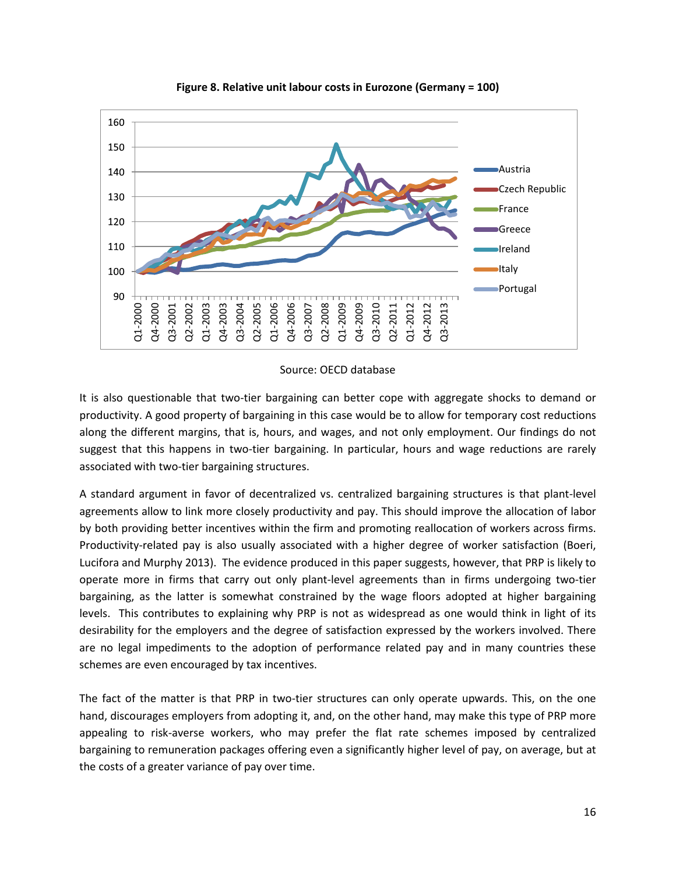

**Figure 8. Relative unit labour costs in Eurozone (Germany = 100)**

#### Source: OECD database

It is also questionable that two-tier bargaining can better cope with aggregate shocks to demand or productivity. A good property of bargaining in this case would be to allow for temporary cost reductions along the different margins, that is, hours, and wages, and not only employment. Our findings do not suggest that this happens in two-tier bargaining. In particular, hours and wage reductions are rarely associated with two-tier bargaining structures.

A standard argument in favor of decentralized vs. centralized bargaining structures is that plant-level agreements allow to link more closely productivity and pay. This should improve the allocation of labor by both providing better incentives within the firm and promoting reallocation of workers across firms. Productivity-related pay is also usually associated with a higher degree of worker satisfaction (Boeri, Lucifora and Murphy 2013). The evidence produced in this paper suggests, however, that PRP is likely to operate more in firms that carry out only plant-level agreements than in firms undergoing two-tier bargaining, as the latter is somewhat constrained by the wage floors adopted at higher bargaining levels. This contributes to explaining why PRP is not as widespread as one would think in light of its desirability for the employers and the degree of satisfaction expressed by the workers involved. There are no legal impediments to the adoption of performance related pay and in many countries these schemes are even encouraged by tax incentives.  $\frac{60}{1}$   $\frac{60}{1}$   $\frac{60}{1}$   $\frac{60}{1}$   $\frac{60}{1}$   $\frac{60}{1}$   $\frac{60}{1}$   $\frac{60}{1}$   $\frac{60}{1}$   $\frac{60}{1}$   $\frac{60}{1}$   $\frac{60}{1}$   $\frac{60}{1}$   $\frac{60}{1}$   $\frac{60}{1}$   $\frac{60}{1}$   $\frac{60}{1}$   $\frac{60}{1}$   $\frac{60}{1}$   $\frac{60}{1}$ 

The fact of the matter is that PRP in two-tier structures can only operate upwards. This, on the one hand, discourages employers from adopting it, and, on the other hand, may make this type of PRP more appealing to risk-averse workers, who may prefer the flat rate schemes imposed by centralized bargaining to remuneration packages offering even a significantly higher level of pay, on average, but at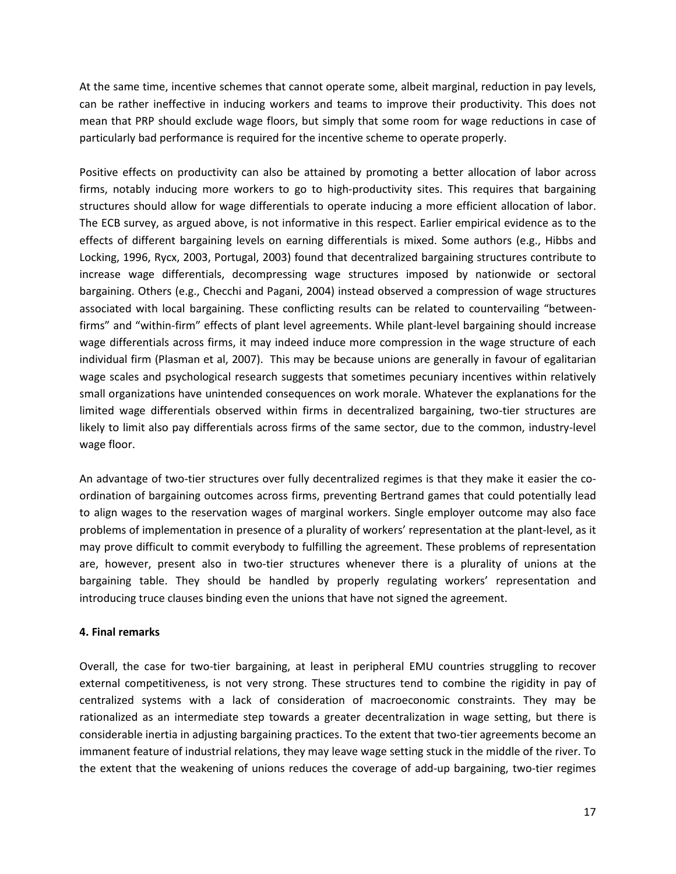At the same time, incentive schemes that cannot operate some, albeit marginal, reduction in pay levels, can be rather ineffective in inducing workers and teams to improve their productivity. This does not mean that PRP should exclude wage floors, but simply that some room for wage reductions in case of particularly bad performance is required for the incentive scheme to operate properly.

Positive effects on productivity can also be attained by promoting a better allocation of labor across firms, notably inducing more workers to go to high-productivity sites. This requires that bargaining structures should allow for wage differentials to operate inducing a more efficient allocation of labor. The ECB survey, as argued above, is not informative in this respect. Earlier empirical evidence as to the effects of different bargaining levels on earning differentials is mixed. Some authors (e.g., Hibbs and Locking, 1996, Rycx, 2003, Portugal, 2003) found that decentralized bargaining structures contribute to increase wage differentials, decompressing wage structures imposed by nationwide or sectoral bargaining. Others (e.g., Checchi and Pagani, 2004) instead observed a compression of wage structures associated with local bargaining. These conflicting results can be related to countervailing "betweenfirms" and "within-firm" effects of plant level agreements. While plant-level bargaining should increase wage differentials across firms, it may indeed induce more compression in the wage structure of each individual firm (Plasman et al, 2007). This may be because unions are generally in favour of egalitarian wage scales and psychological research suggests that sometimes pecuniary incentives within relatively small organizations have unintended consequences on work morale. Whatever the explanations for the limited wage differentials observed within firms in decentralized bargaining, two-tier structures are likely to limit also pay differentials across firms of the same sector, due to the common, industry-level wage floor.

An advantage of two-tier structures over fully decentralized regimes is that they make it easier the coordination of bargaining outcomes across firms, preventing Bertrand games that could potentially lead to align wages to the reservation wages of marginal workers. Single employer outcome may also face problems of implementation in presence of a plurality of workers' representation at the plant-level, as it may prove difficult to commit everybody to fulfilling the agreement. These problems of representation are, however, present also in two-tier structures whenever there is a plurality of unions at the bargaining table. They should be handled by properly regulating workers' representation and introducing truce clauses binding even the unions that have not signed the agreement.

#### **4. Final remarks**

Overall, the case for two-tier bargaining, at least in peripheral EMU countries struggling to recover external competitiveness, is not very strong. These structures tend to combine the rigidity in pay of centralized systems with a lack of consideration of macroeconomic constraints. They may be rationalized as an intermediate step towards a greater decentralization in wage setting, but there is considerable inertia in adjusting bargaining practices. To the extent that two-tier agreements become an immanent feature of industrial relations, they may leave wage setting stuck in the middle of the river. To the extent that the weakening of unions reduces the coverage of add-up bargaining, two-tier regimes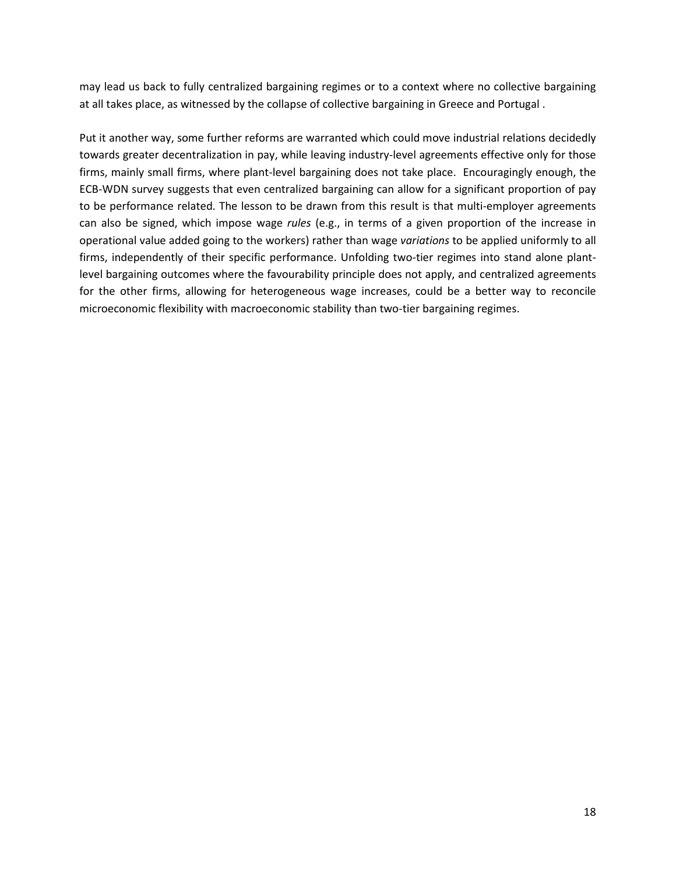may lead us back to fully centralized bargaining regimes or to a context where no collective bargaining at all takes place, as witnessed by the collapse of collective bargaining in Greece and Portugal .

Put it another way, some further reforms are warranted which could move industrial relations decidedly towards greater decentralization in pay, while leaving industry-level agreements effective only for those firms, mainly small firms, where plant-level bargaining does not take place. Encouragingly enough, the ECB-WDN survey suggests that even centralized bargaining can allow for a significant proportion of pay to be performance related. The lesson to be drawn from this result is that multi-employer agreements can also be signed, which impose wage *rules* (e.g., in terms of a given proportion of the increase in operational value added going to the workers) rather than wage *variations* to be applied uniformly to all firms, independently of their specific performance. Unfolding two-tier regimes into stand alone plantlevel bargaining outcomes where the favourability principle does not apply, and centralized agreements for the other firms, allowing for heterogeneous wage increases, could be a better way to reconcile microeconomic flexibility with macroeconomic stability than two-tier bargaining regimes.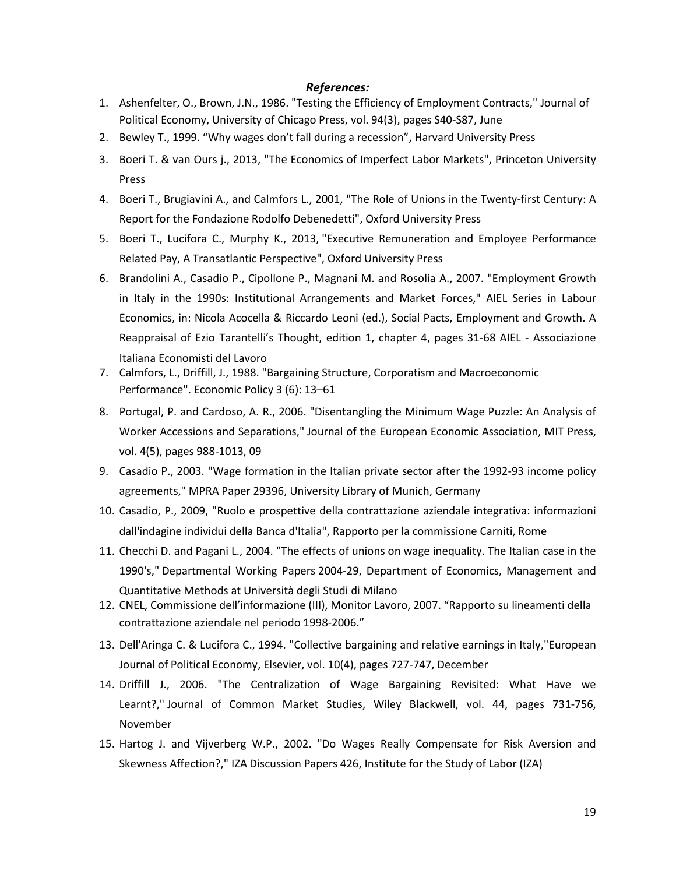#### *References:*

- 1. Ashenfelter, O., Brown, J.N., 1986. "Testing the Efficiency of Employment Contracts," Journal of Political Economy, University of Chicago Press, vol. 94(3), pages S40-S87, June
- 2. Bewley T., 1999. "Why wages don't fall during a recession", Harvard University Press
- 3. Boeri T. & van Ours j., 2013, "The Economics of Imperfect Labor Markets", Princeton University Press
- 4. Boeri T., Brugiavini A., and Calmfors L., 2001, "The Role of Unions in the Twenty-first Century: A Report for the Fondazione Rodolfo Debenedetti", Oxford University Press
- 5. Boeri T., Lucifora C., Murphy K., 2013, "Executive Remuneration and Employee Performance Related Pay, A Transatlantic Perspective", Oxford University Press
- 6. Brandolini A., Casadio P., Cipollone P., Magnani M. and Rosolia A., 2007. "Employment Growth in Italy in the 1990s: Institutional Arrangements and Market Forces," AIEL Series in Labour Economics, in: Nicola Acocella & Riccardo Leoni (ed.), Social Pacts, Employment and Growth. A Reappraisal of Ezio Tarantelli's Thought, edition 1, chapter 4, pages 31-68 AIEL - Associazione Italiana Economisti del Lavoro
- 7. Calmfors, L., Driffill, J., 1988. "Bargaining Structure, Corporatism and Macroeconomic Performance". Economic Policy 3 (6): 13–61
- 8. Portugal, P. and Cardoso, A. R., 2006. "Disentangling the Minimum Wage Puzzle: An Analysis of Worker Accessions and Separations," Journal of the European Economic Association, MIT Press, vol. 4(5), pages 988-1013, 09
- 9. Casadio P., 2003. "Wage formation in the Italian private sector after the 1992-93 income policy agreements," MPRA Paper 29396, University Library of Munich, Germany
- 10. Casadio, P., 2009, "Ruolo e prospettive della contrattazione aziendale integrativa: informazioni dall'indagine individui della Banca d'Italia", Rapporto per la commissione Carniti, Rome
- 11. Checchi D. and Pagani L., 2004. "The effects of unions on wage inequality. The Italian case in the 1990's," Departmental Working Papers 2004-29, Department of Economics, Management and Quantitative Methods at Università degli Studi di Milano
- 12. CNEL, Commissione dell'informazione (III), Monitor Lavoro, 2007. "Rapporto su lineamenti della contrattazione aziendale nel periodo 1998-2006."
- 13. Dell'Aringa C. & Lucifora C., 1994. "Collective bargaining and relative earnings in Italy,"European Journal of Political Economy, Elsevier, vol. 10(4), pages 727-747, December
- 14. Driffill J., 2006. "The Centralization of Wage Bargaining Revisited: What Have we Learnt?," Journal of Common Market Studies, Wiley Blackwell, vol. 44, pages 731-756, November
- 15. Hartog J. and Vijverberg W.P., 2002. "Do Wages Really Compensate for Risk Aversion and Skewness Affection?," IZA Discussion Papers 426, Institute for the Study of Labor (IZA)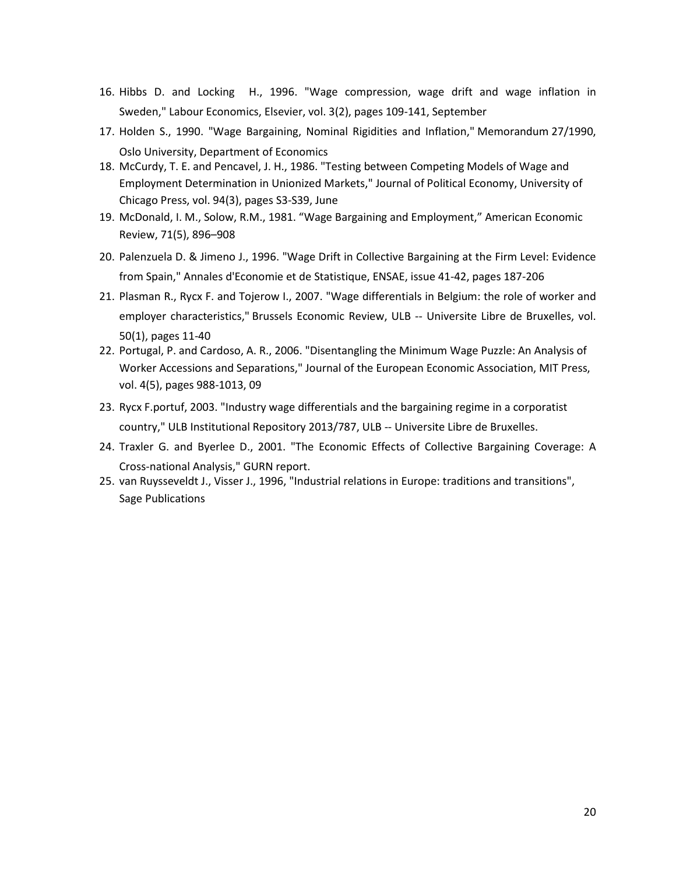- 16. Hibbs D. and Locking H., 1996. "Wage compression, wage drift and wage inflation in Sweden," Labour Economics, Elsevier, vol. 3(2), pages 109-141, September
- 17. Holden S., 1990. "Wage Bargaining, Nominal Rigidities and Inflation," Memorandum 27/1990, Oslo University, Department of Economics
- 18. McCurdy, T. E. and Pencavel, J. H., 1986. "Testing between Competing Models of Wage and Employment Determination in Unionized Markets," Journal of Political Economy, University of Chicago Press, vol. 94(3), pages S3-S39, June
- 19. McDonald, I. M., Solow, R.M., 1981. "Wage Bargaining and Employment," American Economic Review, 71(5), 896–908
- 20. Palenzuela D. & Jimeno J., 1996. "Wage Drift in Collective Bargaining at the Firm Level: Evidence from Spain," Annales d'Economie et de Statistique, ENSAE, issue 41-42, pages 187-206
- 21. Plasman R., Rycx F. and Tojerow I., 2007. "Wage differentials in Belgium: the role of worker and employer characteristics," Brussels Economic Review, ULB -- Universite Libre de Bruxelles, vol. 50(1), pages 11-40
- 22. Portugal, P. and Cardoso, A. R., 2006. "Disentangling the Minimum Wage Puzzle: An Analysis of Worker Accessions and Separations," Journal of the European Economic Association, MIT Press, vol. 4(5), pages 988-1013, 09
- 23. Rycx F.portuf, 2003. "Industry wage differentials and the bargaining regime in a corporatist country," ULB Institutional Repository 2013/787, ULB -- Universite Libre de Bruxelles.
- 24. Traxler G. and Byerlee D., 2001. "The Economic Effects of Collective Bargaining Coverage: A Cross-national Analysis," GURN report.
- 25. van Ruysseveldt J., Visser J., 1996, "Industrial relations in Europe: traditions and transitions", Sage Publications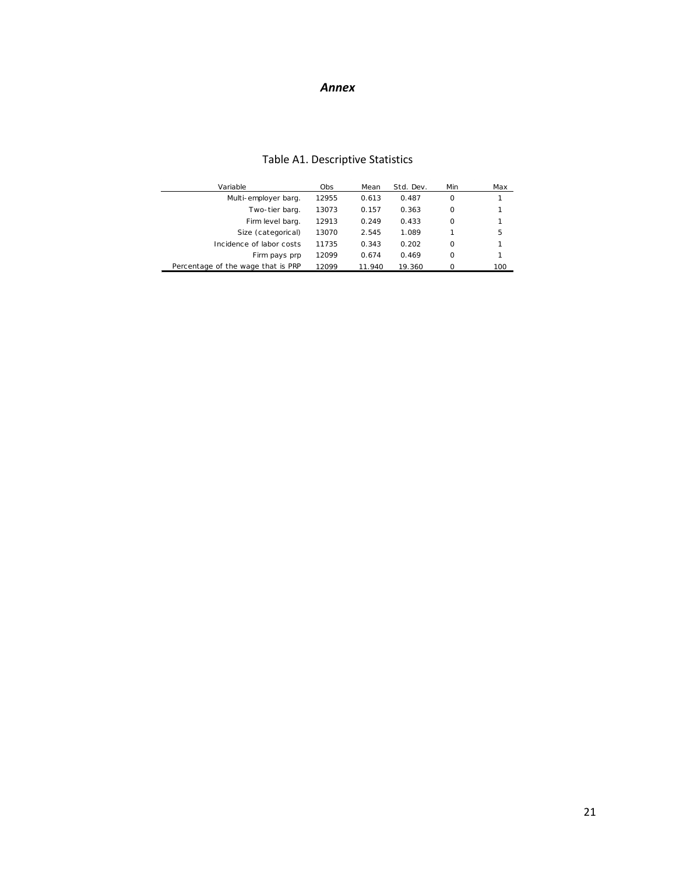#### *Annex*

| Variable                           | Obs.  | Mean   | Std. Dev. | Min      | Max |
|------------------------------------|-------|--------|-----------|----------|-----|
| Multi-employer barg.               | 12955 | 0.613  | 0.487     | $\Omega$ | 1   |
| Two-tier barg.                     | 13073 | 0.157  | 0.363     | $\Omega$ | 1   |
| Firm level barg.                   | 12913 | 0.249  | 0.433     | $\Omega$ | 1   |
| Size (categorical)                 | 13070 | 2.545  | 1.089     |          | 5   |
| Incidence of labor costs           | 11735 | 0.343  | 0.202     | $\Omega$ | 1   |
| Firm pays prp                      | 12099 | 0.674  | 0.469     | $\Omega$ | 1   |
| Percentage of the wage that is PRP | 12099 | 11.940 | 19.360    |          | 100 |

#### Table A1. Descriptive Statistics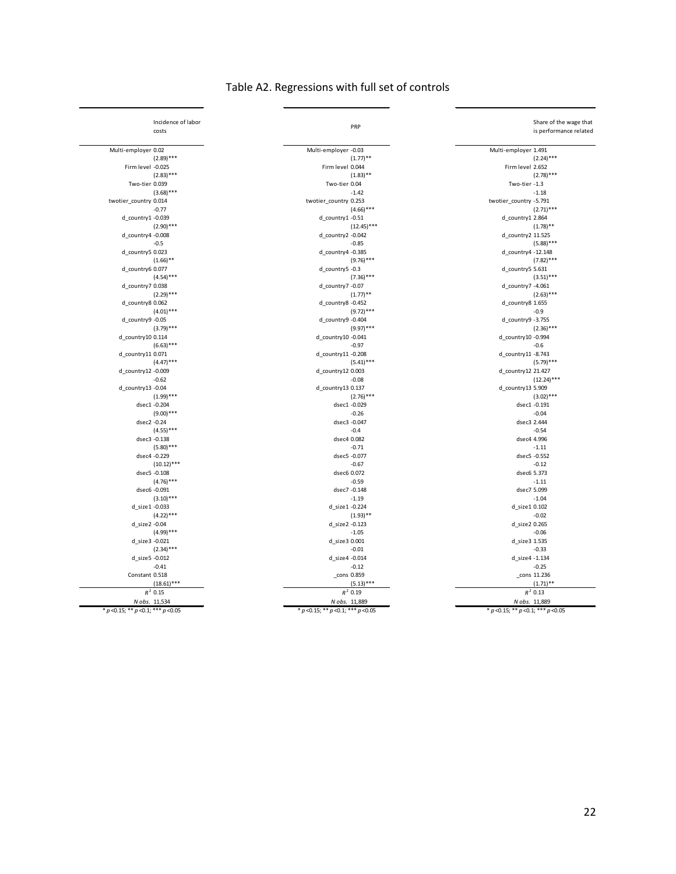|  | Table A2. Regressions with full set of controls |  |  |  |
|--|-------------------------------------------------|--|--|--|
|--|-------------------------------------------------|--|--|--|

| Incidence of labor                         | PRP                                        | Share of the wage that                     |
|--------------------------------------------|--------------------------------------------|--------------------------------------------|
| costs                                      |                                            | is performance related                     |
|                                            |                                            |                                            |
| Multi-employer 0.02<br>$(2.89)$ ***        | Multi-employer -0.03<br>$(1.77)$ **        | Multi-employer 1.491<br>$(2.24)$ ***       |
| Firm level -0.025                          | Firm level 0.044                           | Firm level 2.652                           |
| $(2.83)$ ***                               | $(1.83)$ **                                | $(2.78)$ ***                               |
|                                            |                                            |                                            |
| Two-tier 0.039                             | Two-tier 0.04<br>$-1.42$                   | Two-tier -1.3<br>$-1.18$                   |
| $(3.68)$ ***                               |                                            |                                            |
| twotier_country 0.014<br>$-0.77$           | twotier_country 0.253                      | twotier_country -5.791<br>$(2.71)$ ***     |
| d_country1 -0.039                          | $(4.66)$ ***                               |                                            |
|                                            | d country1 -0.51                           | d country1 2.864                           |
| $(2.90)$ ***                               | $(12.45)***$                               | $(1.78)$ **                                |
| $d$ country 4 - 0.008                      | d country2 -0.042                          | d_country2 11.525                          |
| $-0.5$                                     | $-0.85$                                    | $(5.88)$ ***                               |
| d_country5 0.023                           | d_country4 -0.385                          | d_country4 -12.148                         |
| $(1.66)$ **                                | $(9.76)$ ***                               | $(7.82)$ ***                               |
| d country6 0.077                           | d_country5 -0.3                            | d_country5 5.631                           |
| $(4.54)$ ***                               | $(7.36)$ ***                               | $(3.51)$ ***                               |
| d country7 0.038                           | d_country7 -0.07                           | d_country7 -4.061                          |
| $(2.29)$ ***                               | $(1.77)$ **                                | $(2.63)$ ***                               |
| d_country8 0.062                           | d_country8 -0.452                          | d_country8 1.655                           |
| $(4.01)$ ***                               | $(9.72)$ ***                               | $-0.9$                                     |
| d country9 -0.05                           | d_country9 -0.404                          | d_country9 -3.755                          |
| $(3.79)$ ***                               | $(9.97)$ ***                               | $(2.36)$ ***                               |
| d_country10 0.114                          | d_country10 -0.041                         | d_country10 -0.994                         |
| $(6.63)$ ***                               | $-0.97$                                    | $-0.6$                                     |
| d_country11 0.071                          | d_country11 -0.208                         | d country11 -8.743                         |
| $(4.47)$ ***                               | $(5.41)$ ***                               | $(5.79)$ ***                               |
| d_country12 -0.009                         | d country12 0.003                          | d_country12 21.427                         |
| $-0.62$                                    | $-0.08$                                    | $(12.24)***$                               |
| d_country13 -0.04                          | d_country13 0.137                          | d_country13 5.909                          |
| $(1.99)$ ***                               | $(2.76)$ ***                               | $(3.02)$ ***                               |
| dsec1 -0.204                               | dsec1 -0.029                               | dsec1 -0.191                               |
| $(9.00)$ ***                               | $-0.26$                                    | $-0.04$                                    |
| dsec2 -0.24                                | dsec3 -0.047                               | dsec3 2.444                                |
| $(4.55)$ ***                               | $-0.4$                                     | $-0.54$                                    |
| dsec3 -0.138                               | dsec4 0.082                                | dsec4 4.996                                |
| $(5.80)$ ***                               | $-0.71$                                    | $-1.11$                                    |
| dsec4 -0.229                               | dsec5 -0.077                               | dsec5 -0.552                               |
| $(10.12)$ ***                              | $-0.67$                                    | $-0.12$                                    |
| dsec5 -0.108                               | dsec6 0.072                                | dsec6 5.373                                |
| $(4.76)$ ***                               | $-0.59$                                    | $-1.11$                                    |
| dsec6 -0.091                               | dsec7 -0.148                               | dsec7 5.099                                |
| $(3.10)$ ***                               | $-1.19$                                    | $-1.04$                                    |
| d_size1 -0.033                             | d size1 -0.224                             | d_size1 0.102                              |
| $(4.22)$ ***                               | $(1.93)$ **                                | $-0.02$                                    |
| d size2 -0.04                              | d_size2 -0.123                             | d size2 0.265                              |
| $(4.99)$ ***                               | $-1.05$                                    | $-0.06$                                    |
| d size3 -0.021                             | d size3 0.001                              | d size3 1.535                              |
| $(2.34)$ ***                               | $-0.01$                                    | $-0.33$                                    |
| d_size5 -0.012                             | d_size4 -0.014                             | d_size4 -1.134                             |
| $-0.41$                                    | $-0.12$                                    | $-0.25$                                    |
| Constant 0.518                             | _cons 0.859                                | _cons 11.236                               |
| $(18.61)$ ***                              | $(5.13)$ ***                               | $(1.71)$ **                                |
| $R^2$ 0.15                                 | $R^2$ 0.19                                 | $R^2$ 0.13                                 |
| N obs. 11,534                              | N obs. 11,889                              | N obs. 11,889                              |
|                                            |                                            |                                            |
| * $p$ < 0.15; ** $p$ < 0.1; *** $p$ < 0.05 | * $p$ < 0.15; ** $p$ < 0.1; *** $p$ < 0.05 | * $p$ < 0.15; ** $p$ < 0.1; *** $p$ < 0.05 |